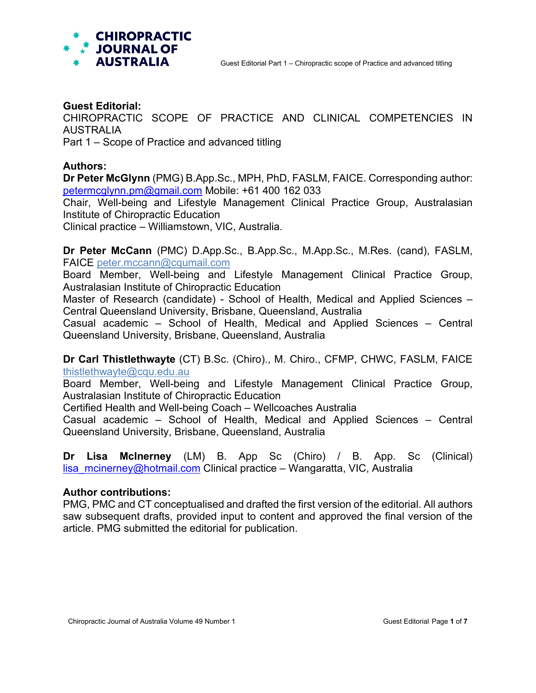

#### **Guest Editorial:**

CHIROPRACTIC SCOPE OF PRACTICE AND CLINICAL COMPETENCIES IN AUSTRALIA

Part 1 – Scope of Practice and advanced titling

### **Authors:**

**Dr Peter McGlynn** (PMG) B.App.Sc., MPH, PhD, FASLM, FAICE. Corresponding author: [petermcglynn.pm@gmail.com](mailto:petermcglynn.pm@gmail.com) Mobile: +61 400 162 033

Chair, Well-being and Lifestyle Management Clinical Practice Group, Australasian Institute of Chiropractic Education

Clinical practice – Williamstown, VIC, Australia.

**Dr Peter McCann** (PMC) D.App.Sc., B.App.Sc., M.App.Sc., M.Res. (cand), FASLM, FAICE [peter.mccann@cqumail.com](mailto:peter.mccann@cqumail.com)

Board Member, Well-being and Lifestyle Management Clinical Practice Group, Australasian Institute of Chiropractic Education

Master of Research (candidate) - School of Health, Medical and Applied Sciences – Central Queensland University, Brisbane, Queensland, Australia

Casual academic – School of Health, Medical and Applied Sciences – Central Queensland University, Brisbane, Queensland, Australia

**Dr Carl Thistlethwayte** (CT) B.Sc. (Chiro)., M. Chiro., CFMP, CHWC, FASLM, FAICE [thistlethwayte@cqu.edu.au](mailto:c.thistlethwayte@cqu.edu.au)

Board Member, Well-being and Lifestyle Management Clinical Practice Group, Australasian Institute of Chiropractic Education

Certified Health and Well-being Coach – Wellcoaches Australia

Casual academic – School of Health, Medical and Applied Sciences – Central Queensland University, Brisbane, Queensland, Australia

**Dr Lisa McInerney** (LM) B. App Sc (Chiro) / B. App. Sc (Clinical) lisa mcinerney@hotmail.com Clinical practice – Wangaratta, VIC, Australia

#### **Author contributions:**

PMG, PMC and CT conceptualised and drafted the first version of the editorial. All authors saw subsequent drafts, provided input to content and approved the final version of the article. PMG submitted the editorial for publication.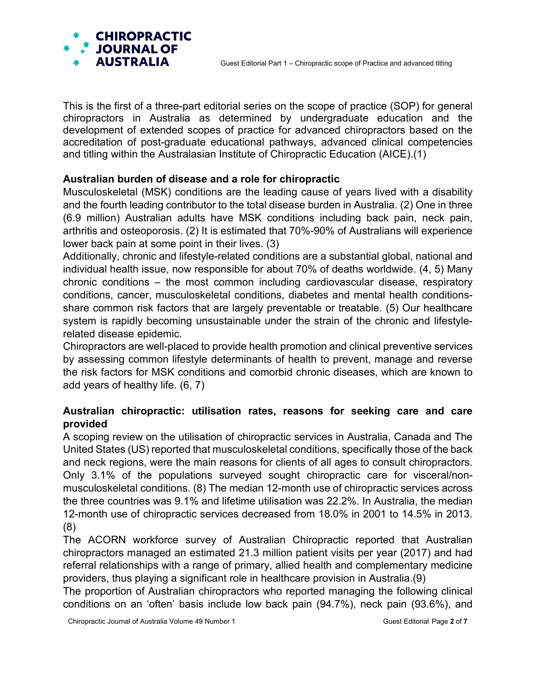

This is the first of a three-part editorial series on the scope of practice (SOP) for general chiropractors in Australia as determined by undergraduate education and the development of extended scopes of practice for advanced chiropractors based on the accreditation of post-graduate educational pathways, advanced clinical competencies and titling within the Australasian Institute of Chiropractic Education (AICE).(1)

## **Australian burden of disease and a role for chiropractic**

Musculoskeletal (MSK) conditions are the leading cause of years lived with a disability and the fourth leading contributor to the total disease burden in Australia. (2) One in three (6.9 million) Australian adults have MSK conditions including back pain, neck pain, arthritis and osteoporosis. (2) It is estimated that 70%-90% of Australians will experience lower back pain at some point in their lives. (3)

Additionally, chronic and lifestyle-related conditions are a substantial global, national and individual health issue, now responsible for about 70% of deaths worldwide. (4, 5) Many chronic conditions – the most common including cardiovascular disease, respiratory conditions, cancer, musculoskeletal conditions, diabetes and mental health conditionsshare common risk factors that are largely preventable or treatable. (5) Our healthcare system is rapidly becoming unsustainable under the strain of the chronic and lifestylerelated disease epidemic.

Chiropractors are well-placed to provide health promotion and clinical preventive services by assessing common lifestyle determinants of health to prevent, manage and reverse the risk factors for MSK conditions and comorbid chronic diseases, which are known to add years of healthy life. (6, 7)

# **Australian chiropractic: utilisation rates, reasons for seeking care and care provided**

A scoping review on the utilisation of chiropractic services in Australia, Canada and The United States (US) reported that musculoskeletal conditions, specifically those of the back and neck regions, were the main reasons for clients of all ages to consult chiropractors. Only 3.1% of the populations surveyed sought chiropractic care for visceral/nonmusculoskeletal conditions. (8) The median 12-month use of chiropractic services across the three countries was 9.1% and lifetime utilisation was 22.2%. In Australia, the median 12-month use of chiropractic services decreased from 18.0% in 2001 to 14.5% in 2013. (8)

The ACORN workforce survey of Australian Chiropractic reported that Australian chiropractors managed an estimated 21.3 million patient visits per year (2017) and had referral relationships with a range of primary, allied health and complementary medicine providers, thus playing a significant role in healthcare provision in Australia.(9)

The proportion of Australian chiropractors who reported managing the following clinical conditions on an 'often' basis include low back pain (94.7%), neck pain (93.6%), and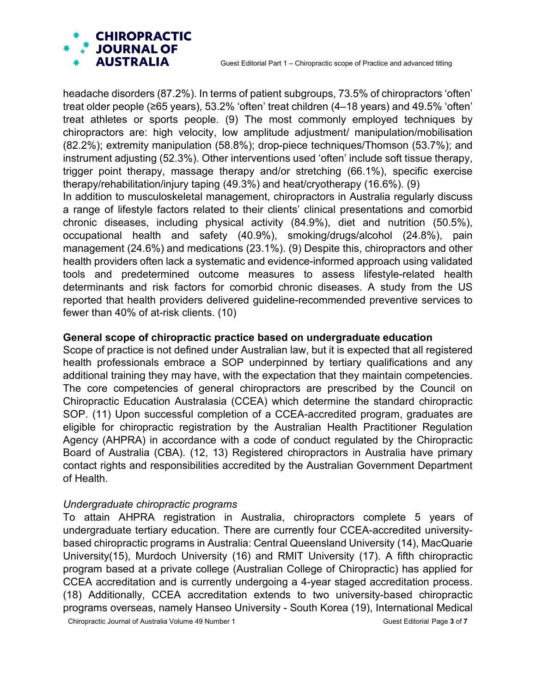

headache disorders (87.2%). In terms of patient subgroups, 73.5% of chiropractors 'often' treat older people (≥65 years), 53.2% 'often' treat children (4–18 years) and 49.5% 'often' treat athletes or sports people. (9) The most commonly employed techniques by chiropractors are: high velocity, low amplitude adjustment/ manipulation/mobilisation (82.2%); extremity manipulation (58.8%); drop-piece techniques/Thomson (53.7%); and instrument adjusting (52.3%). Other interventions used 'often' include soft tissue therapy, trigger point therapy, massage therapy and/or stretching (66.1%), specific exercise therapy/rehabilitation/injury taping (49.3%) and heat/cryotherapy (16.6%). (9)

In addition to musculoskeletal management, chiropractors in Australia regularly discuss a range of lifestyle factors related to their clients' clinical presentations and comorbid chronic diseases, including physical activity (84.9%), diet and nutrition (50.5%), occupational health and safety (40.9%), smoking/drugs/alcohol (24.8%), pain management (24.6%) and medications (23.1%). (9) Despite this, chiropractors and other health providers often lack a systematic and evidence-informed approach using validated tools and predetermined outcome measures to assess lifestyle-related health determinants and risk factors for comorbid chronic diseases. A study from the US reported that health providers delivered guideline-recommended preventive services to fewer than 40% of at-risk clients. (10)

#### **General scope of chiropractic practice based on undergraduate education**

Scope of practice is not defined under Australian law, but it is expected that all registered health professionals embrace a SOP underpinned by tertiary qualifications and any additional training they may have, with the expectation that they maintain competencies. The core competencies of general chiropractors are prescribed by the Council on Chiropractic Education Australasia (CCEA) which determine the standard chiropractic SOP. (11) Upon successful completion of a CCEA-accredited program, graduates are eligible for chiropractic registration by the Australian Health Practitioner Regulation Agency (AHPRA) in accordance with a code of conduct regulated by the Chiropractic Board of Australia (CBA). (12, 13) Registered chiropractors in Australia have primary contact rights and responsibilities accredited by the Australian Government Department of Health.

#### *Undergraduate chiropractic programs*

To attain AHPRA registration in Australia, chiropractors complete 5 years of undergraduate tertiary education. There are currently four CCEA-accredited universitybased chiropractic programs in Australia: Central Queensland University (14), MacQuarie University(15), Murdoch University (16) and RMIT University (17). A fifth chiropractic program based at a private college (Australian College of Chiropractic) has applied for CCEA accreditation and is currently undergoing a 4-year staged accreditation process. (18) Additionally, CCEA accreditation extends to two university-based chiropractic programs overseas, namely Hanseo University - South Korea (19), International Medical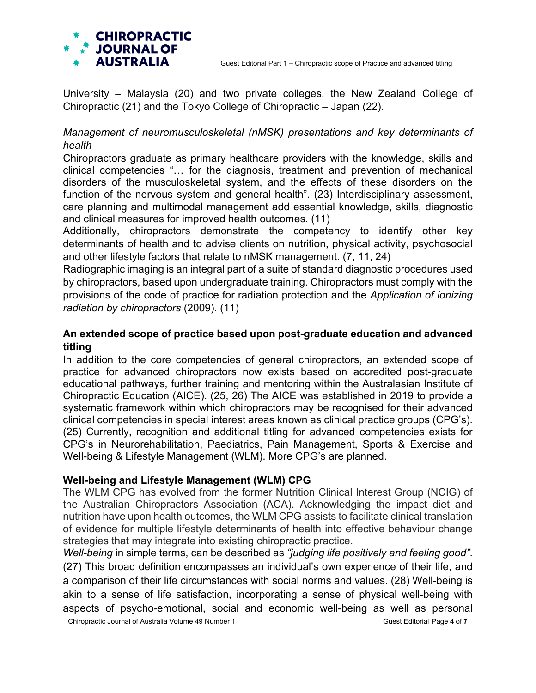

University – Malaysia (20) and two private colleges, the New Zealand College of Chiropractic (21) and the Tokyo College of Chiropractic – Japan (22).

# *Management of neuromusculoskeletal (nMSK) presentations and key determinants of health*

Chiropractors graduate as primary healthcare providers with the knowledge, skills and clinical competencies "… for the diagnosis, treatment and prevention of mechanical disorders of the musculoskeletal system, and the effects of these disorders on the function of the nervous system and general health". (23) Interdisciplinary assessment, care planning and multimodal management add essential knowledge, skills, diagnostic and clinical measures for improved health outcomes. (11)

Additionally, chiropractors demonstrate the competency to identify other key determinants of health and to advise clients on nutrition, physical activity, psychosocial and other lifestyle factors that relate to nMSK management. (7, 11, 24)

Radiographic imaging is an integral part of a suite of standard diagnostic procedures used by chiropractors, based upon undergraduate training. Chiropractors must comply with the provisions of the code of practice for radiation protection and the *Application of ionizing radiation by chiropractors* (2009). (11)

# **An extended scope of practice based upon post-graduate education and advanced titling**

In addition to the core competencies of general chiropractors, an extended scope of practice for advanced chiropractors now exists based on accredited post-graduate educational pathways, further training and mentoring within the Australasian Institute of Chiropractic Education (AICE). (25, 26) The AICE was established in 2019 to provide a systematic framework within which chiropractors may be recognised for their advanced clinical competencies in special interest areas known as clinical practice groups (CPG's). (25) Currently, recognition and additional titling for advanced competencies exists for CPG's in Neurorehabilitation, Paediatrics, Pain Management, Sports & Exercise and Well-being & Lifestyle Management (WLM). More CPG's are planned.

## **Well-being and Lifestyle Management (WLM) CPG**

The WLM CPG has evolved from the former Nutrition Clinical Interest Group (NCIG) of the Australian Chiropractors Association (ACA). Acknowledging the impact diet and nutrition have upon health outcomes, the WLM CPG assists to facilitate clinical translation of evidence for multiple lifestyle determinants of health into effective behaviour change strategies that may integrate into existing chiropractic practice.

Chiropractic Journal of Australia Volume 49 Number 1 Guest Editorial Page 4 of 7 *Well-being* in simple terms, can be described as *"judging life positively and feeling good"*. (27) This broad definition encompasses an individual's own experience of their life, and a comparison of their life circumstances with social norms and values. (28) Well-being is akin to a sense of life satisfaction, incorporating a sense of physical well-being with aspects of psycho-emotional, social and economic well-being as well as personal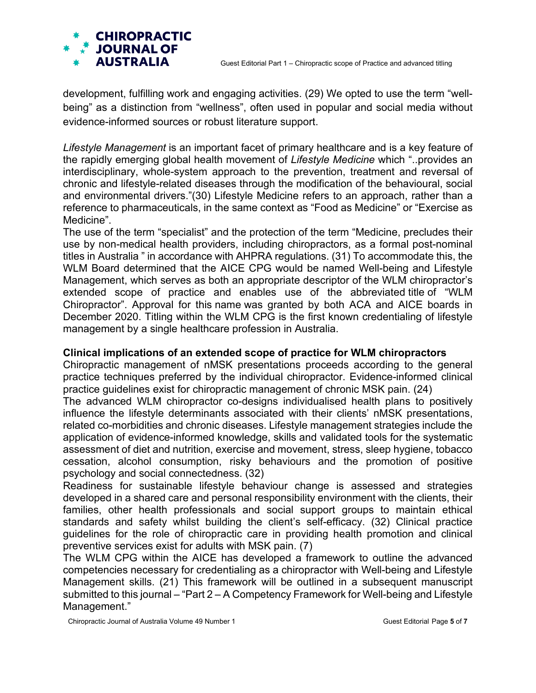

development, fulfilling work and engaging activities. (29) We opted to use the term "wellbeing" as a distinction from "wellness", often used in popular and social media without evidence-informed sources or robust literature support.

*Lifestyle Management* is an important facet of primary healthcare and is a key feature of the rapidly emerging global health movement of *Lifestyle Medicine* which "..provides an interdisciplinary, whole-system approach to the prevention, treatment and reversal of chronic and lifestyle-related diseases through the modification of the behavioural, social and environmental drivers."(30) Lifestyle Medicine refers to an approach, rather than a reference to pharmaceuticals, in the same context as "Food as Medicine" or "Exercise as Medicine".

The use of the term "specialist" and the protection of the term "Medicine, precludes their use by non-medical health providers, including chiropractors, as a formal post-nominal titles in Australia " in accordance with AHPRA regulations. (31) To accommodate this, the WLM Board determined that the AICE CPG would be named Well-being and Lifestyle Management, which serves as both an appropriate descriptor of the WLM chiropractor's extended scope of practice and enables use of the abbreviated title of "WLM Chiropractor". Approval for this name was granted by both ACA and AICE boards in December 2020. Titling within the WLM CPG is the first known credentialing of lifestyle management by a single healthcare profession in Australia.

## **Clinical implications of an extended scope of practice for WLM chiropractors**

Chiropractic management of nMSK presentations proceeds according to the general practice techniques preferred by the individual chiropractor. Evidence-informed clinical practice guidelines exist for chiropractic management of chronic MSK pain. (24)

The advanced WLM chiropractor co-designs individualised health plans to positively influence the lifestyle determinants associated with their clients' nMSK presentations, related co-morbidities and chronic diseases. Lifestyle management strategies include the application of evidence-informed knowledge, skills and validated tools for the systematic assessment of diet and nutrition, exercise and movement, stress, sleep hygiene, tobacco cessation, alcohol consumption, risky behaviours and the promotion of positive psychology and social connectedness. (32)

Readiness for sustainable lifestyle behaviour change is assessed and strategies developed in a shared care and personal responsibility environment with the clients, their families, other health professionals and social support groups to maintain ethical standards and safety whilst building the client's self-efficacy. (32) Clinical practice guidelines for the role of chiropractic care in providing health promotion and clinical preventive services exist for adults with MSK pain. (7)

The WLM CPG within the AICE has developed a framework to outline the advanced competencies necessary for credentialing as a chiropractor with Well-being and Lifestyle Management skills. (21) This framework will be outlined in a subsequent manuscript submitted to this journal – "Part 2 – A Competency Framework for Well-being and Lifestyle Management."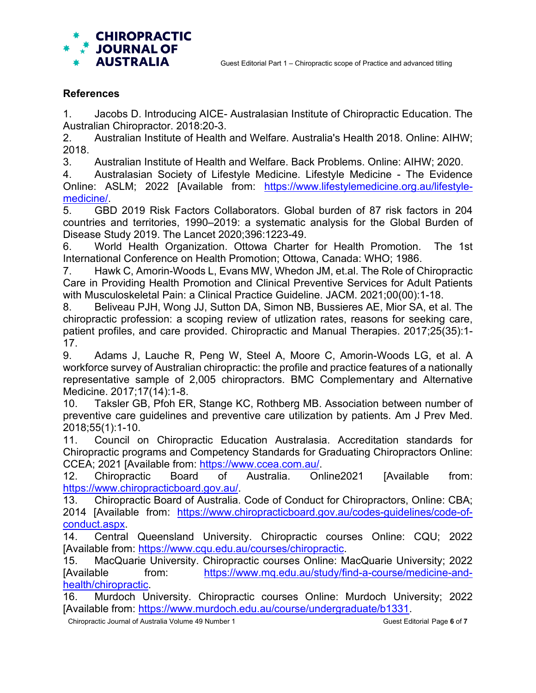

### **References**

1. Jacobs D. Introducing AICE- Australasian Institute of Chiropractic Education. The Australian Chiropractor. 2018:20-3.

2. Australian Institute of Health and Welfare. Australia's Health 2018. Online: AIHW; 2018.

3. Australian Institute of Health and Welfare. Back Problems. Online: AIHW; 2020.

4. Australasian Society of Lifestyle Medicine. Lifestyle Medicine - The Evidence Online: ASLM; 2022 [Available from: [https://www.lifestylemedicine.org.au/lifestyle](https://www.lifestylemedicine.org.au/lifestyle-medicine/)[medicine/.](https://www.lifestylemedicine.org.au/lifestyle-medicine/)

5. GBD 2019 Risk Factors Collaborators. Global burden of 87 risk factors in 204 countries and territories, 1990–2019: a systematic analysis for the Global Burden of Disease Study 2019. The Lancet 2020;396:1223-49.

6. World Health Organization. Ottowa Charter for Health Promotion. The 1st International Conference on Health Promotion; Ottowa, Canada: WHO; 1986.

7. Hawk C, Amorin-Woods L, Evans MW, Whedon JM, et.al. The Role of Chiropractic Care in Providing Health Promotion and Clinical Preventive Services for Adult Patients with Musculoskeletal Pain: a Clinical Practice Guideline. JACM. 2021;00(00):1-18.

8. Beliveau PJH, Wong JJ, Sutton DA, Simon NB, Bussieres AE, Mior SA, et al. The chiropractic profession: a scoping review of utlization rates, reasons for seeking care, patient profiles, and care provided. Chiropractic and Manual Therapies. 2017;25(35):1- 17.

9. Adams J, Lauche R, Peng W, Steel A, Moore C, Amorin-Woods LG, et al. A workforce survey of Australian chiropractic: the profile and practice features of a nationally representative sample of 2,005 chiropractors. BMC Complementary and Alternative Medicine. 2017;17(14):1-8.

10. Taksler GB, Pfoh ER, Stange KC, Rothberg MB. Association between number of preventive care guidelines and preventive care utilization by patients. Am J Prev Med. 2018;55(1):1-10.

11. Council on Chiropractic Education Australasia. Accreditation standards for Chiropractic programs and Competency Standards for Graduating Chiropractors Online: CCEA; 2021 [Available from: [https://www.ccea.com.au/.](https://www.ccea.com.au/)

12. Chiropractic Board of Australia. Online2021 [Available from: [https://www.chiropracticboard.gov.au/.](https://www.chiropracticboard.gov.au/)

13. Chiropractic Board of Australia. Code of Conduct for Chiropractors, Online: CBA; 2014 [Available from: [https://www.chiropracticboard.gov.au/codes-guidelines/code-of](https://www.chiropracticboard.gov.au/codes-guidelines/code-of-conduct.aspx)[conduct.aspx.](https://www.chiropracticboard.gov.au/codes-guidelines/code-of-conduct.aspx)

14. Central Queensland University. Chiropractic courses Online: CQU; 2022 [Available from: [https://www.cqu.edu.au/courses/chiropractic.](https://www.cqu.edu.au/courses/chiropractic)

15. MacQuarie University. Chiropractic courses Online: MacQuarie University; 2022 [Available from: [https://www.mq.edu.au/study/find-a-course/medicine-and](https://www.mq.edu.au/study/find-a-course/medicine-and-health/chiropractic)[health/chiropractic.](https://www.mq.edu.au/study/find-a-course/medicine-and-health/chiropractic)

16. Murdoch University. Chiropractic courses Online: Murdoch University; 2022 [Available from: [https://www.murdoch.edu.au/course/undergraduate/b1331.](https://www.murdoch.edu.au/course/undergraduate/b1331)

Chiropractic Journal of Australia Volume 49 Number 1 Guest Editorial Page 6 of 7